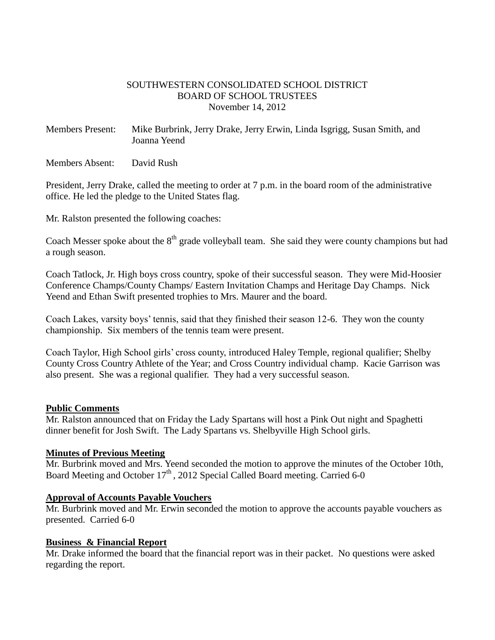#### SOUTHWESTERN CONSOLIDATED SCHOOL DISTRICT BOARD OF SCHOOL TRUSTEES November 14, 2012

Members Present: Mike Burbrink, Jerry Drake, Jerry Erwin, Linda Isgrigg, Susan Smith, and Joanna Yeend

Members Absent: David Rush

President, Jerry Drake, called the meeting to order at 7 p.m. in the board room of the administrative office. He led the pledge to the United States flag.

Mr. Ralston presented the following coaches:

Coach Messer spoke about the  $8<sup>th</sup>$  grade volleyball team. She said they were county champions but had a rough season.

Coach Tatlock, Jr. High boys cross country, spoke of their successful season. They were Mid-Hoosier Conference Champs/County Champs/ Eastern Invitation Champs and Heritage Day Champs. Nick Yeend and Ethan Swift presented trophies to Mrs. Maurer and the board.

Coach Lakes, varsity boys' tennis, said that they finished their season 12-6. They won the county championship. Six members of the tennis team were present.

Coach Taylor, High School girls' cross county, introduced Haley Temple, regional qualifier; Shelby County Cross Country Athlete of the Year; and Cross Country individual champ. Kacie Garrison was also present. She was a regional qualifier. They had a very successful season.

#### **Public Comments**

Mr. Ralston announced that on Friday the Lady Spartans will host a Pink Out night and Spaghetti dinner benefit for Josh Swift. The Lady Spartans vs. Shelbyville High School girls.

#### **Minutes of Previous Meeting**

Mr. Burbrink moved and Mrs. Yeend seconded the motion to approve the minutes of the October 10th, Board Meeting and October  $17<sup>th</sup>$ , 2012 Special Called Board meeting. Carried 6-0

#### **Approval of Accounts Payable Vouchers**

Mr. Burbrink moved and Mr. Erwin seconded the motion to approve the accounts payable vouchers as presented. Carried 6-0

#### **Business & Financial Report**

Mr. Drake informed the board that the financial report was in their packet. No questions were asked regarding the report.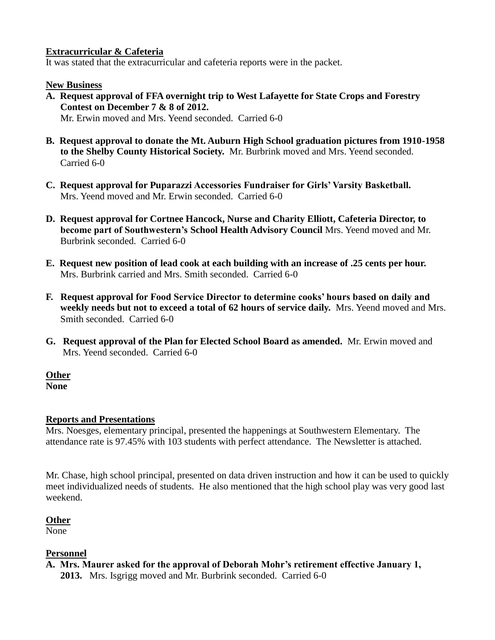#### **Extracurricular & Cafeteria**

It was stated that the extracurricular and cafeteria reports were in the packet.

#### **New Business**

- **A. Request approval of FFA overnight trip to West Lafayette for State Crops and Forestry Contest on December 7 & 8 of 2012.** Mr. Erwin moved and Mrs. Yeend seconded. Carried 6-0
- **B. Request approval to donate the Mt. Auburn High School graduation pictures from 1910-1958 to the Shelby County Historical Society.** Mr. Burbrink moved and Mrs. Yeend seconded. Carried 6-0
- **C. Request approval for Puparazzi Accessories Fundraiser for Girls' Varsity Basketball.** Mrs. Yeend moved and Mr. Erwin seconded. Carried 6-0
- **D. Request approval for Cortnee Hancock, Nurse and Charity Elliott, Cafeteria Director, to become part of Southwestern's School Health Advisory Council** Mrs. Yeend moved and Mr. Burbrink seconded. Carried 6-0
- **E. Request new position of lead cook at each building with an increase of .25 cents per hour.** Mrs. Burbrink carried and Mrs. Smith seconded. Carried 6-0
- **F. Request approval for Food Service Director to determine cooks' hours based on daily and weekly needs but not to exceed a total of 62 hours of service daily.** Mrs. Yeend moved and Mrs. Smith seconded. Carried 6-0
- **G. Request approval of the Plan for Elected School Board as amended.** Mr. Erwin moved and Mrs. Yeend seconded. Carried 6-0

# **Other**

**None**

## **Reports and Presentations**

Mrs. Noesges, elementary principal, presented the happenings at Southwestern Elementary. The attendance rate is 97.45% with 103 students with perfect attendance. The Newsletter is attached.

Mr. Chase, high school principal, presented on data driven instruction and how it can be used to quickly meet individualized needs of students. He also mentioned that the high school play was very good last weekend.

## **Other**

None

## **Personnel**

**A. Mrs. Maurer asked for the approval of Deborah Mohr's retirement effective January 1, 2013.** Mrs. Isgrigg moved and Mr. Burbrink seconded. Carried 6-0